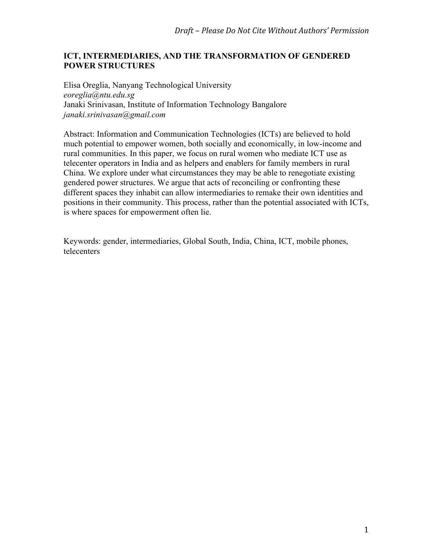# **ICT, INTERMEDIARIES, AND THE TRANSFORMATION OF GENDERED POWER STRUCTURES**

Elisa Oreglia, Nanyang Technological University *eoreglia@ntu.edu.sg* Janaki Srinivasan, Institute of Information Technology Bangalore *janaki.srinivasan@gmail.com*

Abstract: Information and Communication Technologies (ICTs) are believed to hold much potential to empower women, both socially and economically, in low-income and rural communities. In this paper, we focus on rural women who mediate ICT use as telecenter operators in India and as helpers and enablers for family members in rural China. We explore under what circumstances they may be able to renegotiate existing gendered power structures. We argue that acts of reconciling or confronting these different spaces they inhabit can allow intermediaries to remake their own identities and positions in their community. This process, rather than the potential associated with ICTs, is where spaces for empowerment often lie.

Keywords: gender, intermediaries, Global South, India, China, ICT, mobile phones, telecenters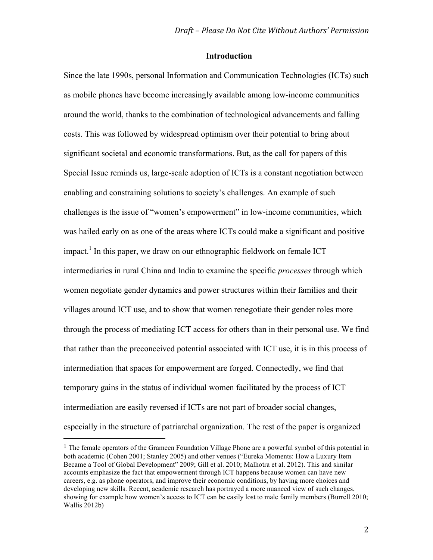## **Introduction**

Since the late 1990s, personal Information and Communication Technologies (ICTs) such as mobile phones have become increasingly available among low-income communities around the world, thanks to the combination of technological advancements and falling costs. This was followed by widespread optimism over their potential to bring about significant societal and economic transformations. But, as the call for papers of this Special Issue reminds us, large-scale adoption of ICTs is a constant negotiation between enabling and constraining solutions to society's challenges. An example of such challenges is the issue of "women's empowerment" in low-income communities, which was hailed early on as one of the areas where ICTs could make a significant and positive impact.<sup>1</sup> In this paper, we draw on our ethnographic fieldwork on female ICT intermediaries in rural China and India to examine the specific *processes* through which women negotiate gender dynamics and power structures within their families and their villages around ICT use, and to show that women renegotiate their gender roles more through the process of mediating ICT access for others than in their personal use. We find that rather than the preconceived potential associated with ICT use, it is in this process of intermediation that spaces for empowerment are forged. Connectedly, we find that temporary gains in the status of individual women facilitated by the process of ICT intermediation are easily reversed if ICTs are not part of broader social changes, especially in the structure of patriarchal organization. The rest of the paper is organized

<sup>&</sup>lt;sup>1</sup> The female operators of the Grameen Foundation Village Phone are a powerful symbol of this potential in both academic (Cohen 2001; Stanley 2005) and other venues ("Eureka Moments: How a Luxury Item Became a Tool of Global Development" 2009; Gill et al. 2010; Malhotra et al. 2012). This and similar accounts emphasize the fact that empowerment through ICT happens because women can have new careers, e.g. as phone operators, and improve their economic conditions, by having more choices and developing new skills. Recent, academic research has portrayed a more nuanced view of such changes, showing for example how women's access to ICT can be easily lost to male family members (Burrell 2010; Wallis 2012b)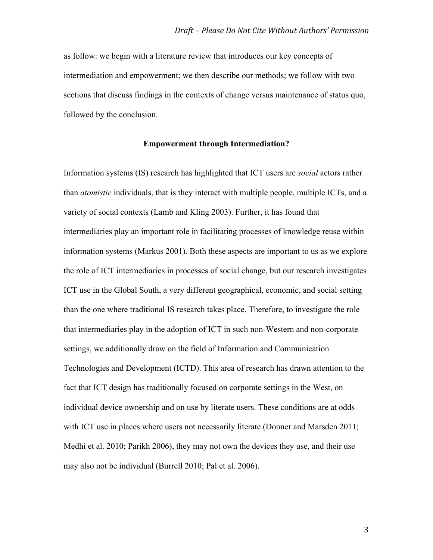as follow: we begin with a literature review that introduces our key concepts of intermediation and empowerment; we then describe our methods; we follow with two sections that discuss findings in the contexts of change versus maintenance of status quo, followed by the conclusion.

## **Empowerment through Intermediation?**

Information systems (IS) research has highlighted that ICT users are *social* actors rather than *atomistic* individuals, that is they interact with multiple people, multiple ICTs, and a variety of social contexts (Lamb and Kling 2003). Further, it has found that intermediaries play an important role in facilitating processes of knowledge reuse within information systems (Markus 2001). Both these aspects are important to us as we explore the role of ICT intermediaries in processes of social change, but our research investigates ICT use in the Global South, a very different geographical, economic, and social setting than the one where traditional IS research takes place. Therefore, to investigate the role that intermediaries play in the adoption of ICT in such non-Western and non-corporate settings, we additionally draw on the field of Information and Communication Technologies and Development (ICTD). This area of research has drawn attention to the fact that ICT design has traditionally focused on corporate settings in the West, on individual device ownership and on use by literate users. These conditions are at odds with ICT use in places where users not necessarily literate (Donner and Marsden 2011; Medhi et al. 2010; Parikh 2006), they may not own the devices they use, and their use may also not be individual (Burrell 2010; Pal et al. 2006).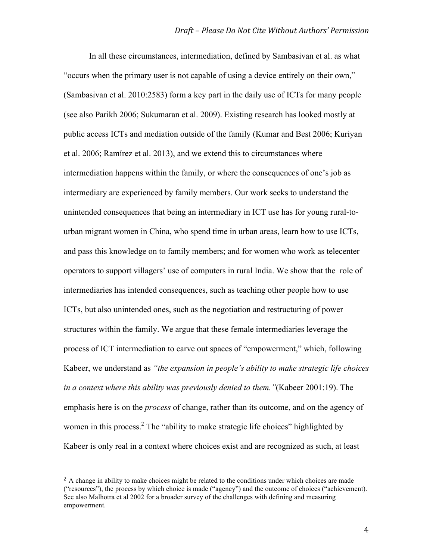In all these circumstances, intermediation, defined by Sambasivan et al. as what "occurs when the primary user is not capable of using a device entirely on their own," (Sambasivan et al. 2010:2583) form a key part in the daily use of ICTs for many people (see also Parikh 2006; Sukumaran et al. 2009). Existing research has looked mostly at public access ICTs and mediation outside of the family (Kumar and Best 2006; Kuriyan et al. 2006; Ramírez et al. 2013), and we extend this to circumstances where intermediation happens within the family, or where the consequences of one's job as intermediary are experienced by family members. Our work seeks to understand the unintended consequences that being an intermediary in ICT use has for young rural-tourban migrant women in China, who spend time in urban areas, learn how to use ICTs, and pass this knowledge on to family members; and for women who work as telecenter operators to support villagers' use of computers in rural India. We show that the role of intermediaries has intended consequences, such as teaching other people how to use ICTs, but also unintended ones, such as the negotiation and restructuring of power structures within the family. We argue that these female intermediaries leverage the process of ICT intermediation to carve out spaces of "empowerment," which, following Kabeer, we understand as *"the expansion in people's ability to make strategic life choices in a context where this ability was previously denied to them."*(Kabeer 2001:19). The emphasis here is on the *process* of change, rather than its outcome, and on the agency of women in this process.<sup>2</sup> The "ability to make strategic life choices" highlighted by Kabeer is only real in a context where choices exist and are recognized as such, at least

 $<sup>2</sup>$  A change in ability to make choices might be related to the conditions under which choices are made</sup> ("resources"), the process by which choice is made ("agency") and the outcome of choices ("achievement). See also Malhotra et al 2002 for a broader survey of the challenges with defining and measuring empowerment.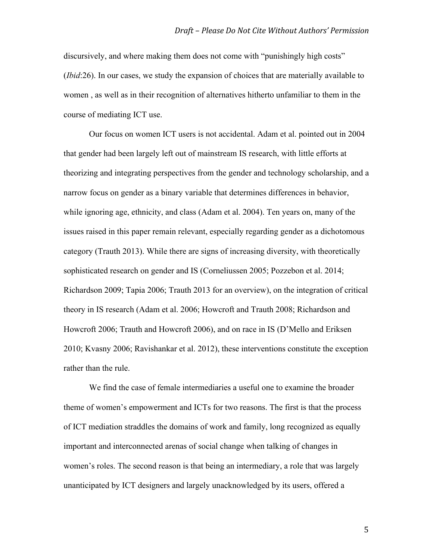discursively, and where making them does not come with "punishingly high costs" (*Ibid*:26). In our cases, we study the expansion of choices that are materially available to women , as well as in their recognition of alternatives hitherto unfamiliar to them in the course of mediating ICT use.

Our focus on women ICT users is not accidental. Adam et al. pointed out in 2004 that gender had been largely left out of mainstream IS research, with little efforts at theorizing and integrating perspectives from the gender and technology scholarship, and a narrow focus on gender as a binary variable that determines differences in behavior, while ignoring age, ethnicity, and class (Adam et al. 2004). Ten years on, many of the issues raised in this paper remain relevant, especially regarding gender as a dichotomous category (Trauth 2013). While there are signs of increasing diversity, with theoretically sophisticated research on gender and IS (Corneliussen 2005; Pozzebon et al. 2014; Richardson 2009; Tapia 2006; Trauth 2013 for an overview), on the integration of critical theory in IS research (Adam et al. 2006; Howcroft and Trauth 2008; Richardson and Howcroft 2006; Trauth and Howcroft 2006), and on race in IS (D'Mello and Eriksen 2010; Kvasny 2006; Ravishankar et al. 2012), these interventions constitute the exception rather than the rule.

We find the case of female intermediaries a useful one to examine the broader theme of women's empowerment and ICTs for two reasons. The first is that the process of ICT mediation straddles the domains of work and family, long recognized as equally important and interconnected arenas of social change when talking of changes in women's roles. The second reason is that being an intermediary, a role that was largely unanticipated by ICT designers and largely unacknowledged by its users, offered a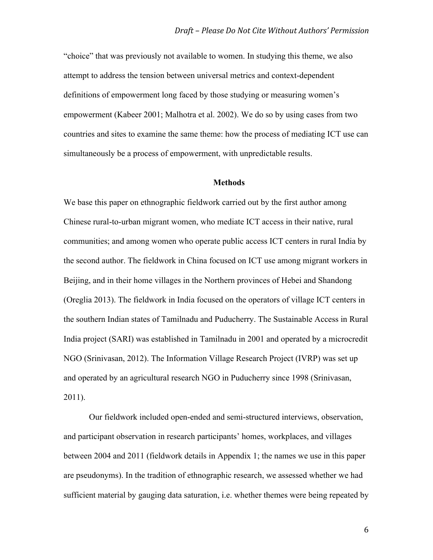"choice" that was previously not available to women. In studying this theme, we also attempt to address the tension between universal metrics and context-dependent definitions of empowerment long faced by those studying or measuring women's empowerment (Kabeer 2001; Malhotra et al. 2002). We do so by using cases from two countries and sites to examine the same theme: how the process of mediating ICT use can simultaneously be a process of empowerment, with unpredictable results.

## **Methods**

We base this paper on ethnographic fieldwork carried out by the first author among Chinese rural-to-urban migrant women, who mediate ICT access in their native, rural communities; and among women who operate public access ICT centers in rural India by the second author. The fieldwork in China focused on ICT use among migrant workers in Beijing, and in their home villages in the Northern provinces of Hebei and Shandong (Oreglia 2013). The fieldwork in India focused on the operators of village ICT centers in the southern Indian states of Tamilnadu and Puducherry. The Sustainable Access in Rural India project (SARI) was established in Tamilnadu in 2001 and operated by a microcredit NGO (Srinivasan, 2012). The Information Village Research Project (IVRP) was set up and operated by an agricultural research NGO in Puducherry since 1998 (Srinivasan, 2011).

Our fieldwork included open-ended and semi-structured interviews, observation, and participant observation in research participants' homes, workplaces, and villages between 2004 and 2011 (fieldwork details in Appendix 1; the names we use in this paper are pseudonyms). In the tradition of ethnographic research, we assessed whether we had sufficient material by gauging data saturation, i.e. whether themes were being repeated by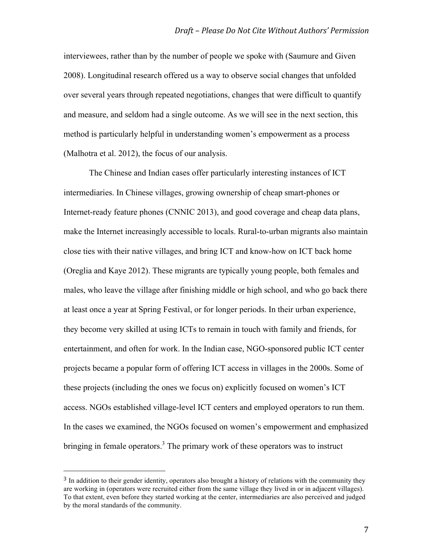interviewees, rather than by the number of people we spoke with (Saumure and Given 2008). Longitudinal research offered us a way to observe social changes that unfolded over several years through repeated negotiations, changes that were difficult to quantify and measure, and seldom had a single outcome. As we will see in the next section, this method is particularly helpful in understanding women's empowerment as a process (Malhotra et al. 2012), the focus of our analysis.

The Chinese and Indian cases offer particularly interesting instances of ICT intermediaries. In Chinese villages, growing ownership of cheap smart-phones or Internet-ready feature phones (CNNIC 2013), and good coverage and cheap data plans, make the Internet increasingly accessible to locals. Rural-to-urban migrants also maintain close ties with their native villages, and bring ICT and know-how on ICT back home (Oreglia and Kaye 2012). These migrants are typically young people, both females and males, who leave the village after finishing middle or high school, and who go back there at least once a year at Spring Festival, or for longer periods. In their urban experience, they become very skilled at using ICTs to remain in touch with family and friends, for entertainment, and often for work. In the Indian case, NGO-sponsored public ICT center projects became a popular form of offering ICT access in villages in the 2000s. Some of these projects (including the ones we focus on) explicitly focused on women's ICT access. NGOs established village-level ICT centers and employed operators to run them. In the cases we examined, the NGOs focused on women's empowerment and emphasized bringing in female operators.<sup>3</sup> The primary work of these operators was to instruct

<sup>&</sup>lt;sup>3</sup> In addition to their gender identity, operators also brought a history of relations with the community they are working in (operators were recruited either from the same village they lived in or in adjacent villages). To that extent, even before they started working at the center, intermediaries are also perceived and judged by the moral standards of the community.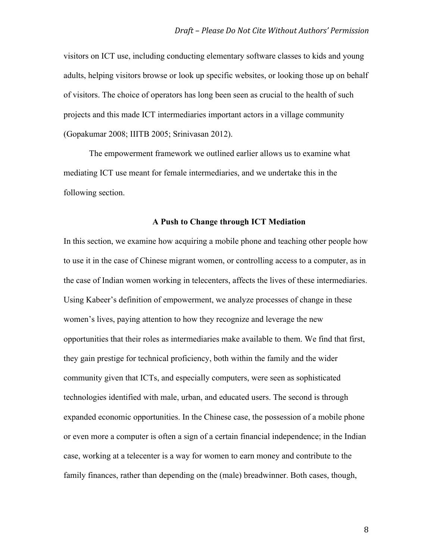visitors on ICT use, including conducting elementary software classes to kids and young adults, helping visitors browse or look up specific websites, or looking those up on behalf of visitors. The choice of operators has long been seen as crucial to the health of such projects and this made ICT intermediaries important actors in a village community (Gopakumar 2008; IIITB 2005; Srinivasan 2012).

The empowerment framework we outlined earlier allows us to examine what mediating ICT use meant for female intermediaries, and we undertake this in the following section.

#### **A Push to Change through ICT Mediation**

In this section, we examine how acquiring a mobile phone and teaching other people how to use it in the case of Chinese migrant women, or controlling access to a computer, as in the case of Indian women working in telecenters, affects the lives of these intermediaries. Using Kabeer's definition of empowerment, we analyze processes of change in these women's lives, paying attention to how they recognize and leverage the new opportunities that their roles as intermediaries make available to them. We find that first, they gain prestige for technical proficiency, both within the family and the wider community given that ICTs, and especially computers, were seen as sophisticated technologies identified with male, urban, and educated users. The second is through expanded economic opportunities. In the Chinese case, the possession of a mobile phone or even more a computer is often a sign of a certain financial independence; in the Indian case, working at a telecenter is a way for women to earn money and contribute to the family finances, rather than depending on the (male) breadwinner. Both cases, though,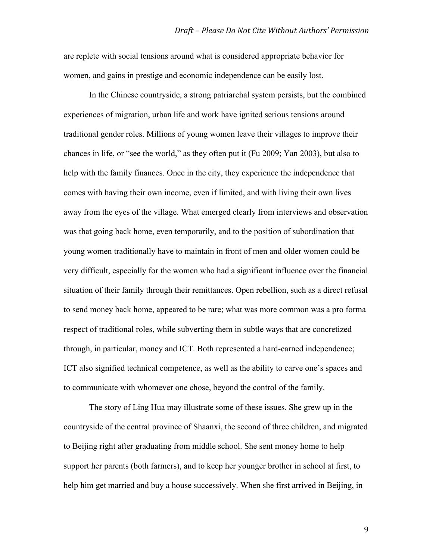are replete with social tensions around what is considered appropriate behavior for women, and gains in prestige and economic independence can be easily lost.

In the Chinese countryside, a strong patriarchal system persists, but the combined experiences of migration, urban life and work have ignited serious tensions around traditional gender roles. Millions of young women leave their villages to improve their chances in life, or "see the world," as they often put it (Fu 2009; Yan 2003), but also to help with the family finances. Once in the city, they experience the independence that comes with having their own income, even if limited, and with living their own lives away from the eyes of the village. What emerged clearly from interviews and observation was that going back home, even temporarily, and to the position of subordination that young women traditionally have to maintain in front of men and older women could be very difficult, especially for the women who had a significant influence over the financial situation of their family through their remittances. Open rebellion, such as a direct refusal to send money back home, appeared to be rare; what was more common was a pro forma respect of traditional roles, while subverting them in subtle ways that are concretized through, in particular, money and ICT. Both represented a hard-earned independence; ICT also signified technical competence, as well as the ability to carve one's spaces and to communicate with whomever one chose, beyond the control of the family.

The story of Ling Hua may illustrate some of these issues. She grew up in the countryside of the central province of Shaanxi, the second of three children, and migrated to Beijing right after graduating from middle school. She sent money home to help support her parents (both farmers), and to keep her younger brother in school at first, to help him get married and buy a house successively. When she first arrived in Beijing, in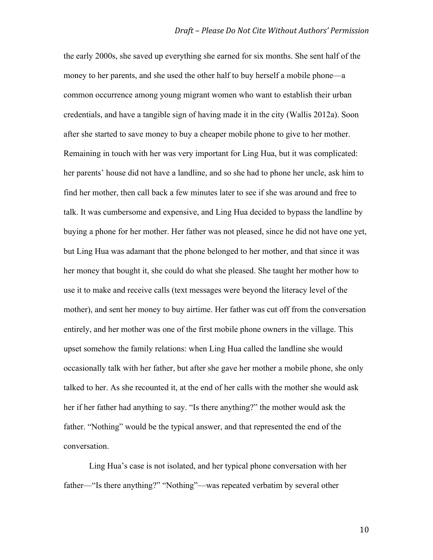the early 2000s, she saved up everything she earned for six months. She sent half of the money to her parents, and she used the other half to buy herself a mobile phone—a common occurrence among young migrant women who want to establish their urban credentials, and have a tangible sign of having made it in the city (Wallis 2012a). Soon after she started to save money to buy a cheaper mobile phone to give to her mother. Remaining in touch with her was very important for Ling Hua, but it was complicated: her parents' house did not have a landline, and so she had to phone her uncle, ask him to find her mother, then call back a few minutes later to see if she was around and free to talk. It was cumbersome and expensive, and Ling Hua decided to bypass the landline by buying a phone for her mother. Her father was not pleased, since he did not have one yet, but Ling Hua was adamant that the phone belonged to her mother, and that since it was her money that bought it, she could do what she pleased. She taught her mother how to use it to make and receive calls (text messages were beyond the literacy level of the mother), and sent her money to buy airtime. Her father was cut off from the conversation entirely, and her mother was one of the first mobile phone owners in the village. This upset somehow the family relations: when Ling Hua called the landline she would occasionally talk with her father, but after she gave her mother a mobile phone, she only talked to her. As she recounted it, at the end of her calls with the mother she would ask her if her father had anything to say. "Is there anything?" the mother would ask the father. "Nothing" would be the typical answer, and that represented the end of the conversation.

Ling Hua's case is not isolated, and her typical phone conversation with her father—"Is there anything?" "Nothing"—was repeated verbatim by several other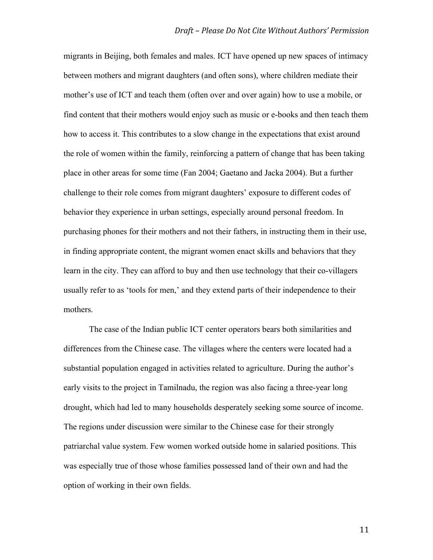migrants in Beijing, both females and males. ICT have opened up new spaces of intimacy between mothers and migrant daughters (and often sons), where children mediate their mother's use of ICT and teach them (often over and over again) how to use a mobile, or find content that their mothers would enjoy such as music or e-books and then teach them how to access it. This contributes to a slow change in the expectations that exist around the role of women within the family, reinforcing a pattern of change that has been taking place in other areas for some time (Fan 2004; Gaetano and Jacka 2004). But a further challenge to their role comes from migrant daughters' exposure to different codes of behavior they experience in urban settings, especially around personal freedom. In purchasing phones for their mothers and not their fathers, in instructing them in their use, in finding appropriate content, the migrant women enact skills and behaviors that they learn in the city. They can afford to buy and then use technology that their co-villagers usually refer to as 'tools for men,' and they extend parts of their independence to their mothers.

The case of the Indian public ICT center operators bears both similarities and differences from the Chinese case. The villages where the centers were located had a substantial population engaged in activities related to agriculture. During the author's early visits to the project in Tamilnadu, the region was also facing a three-year long drought, which had led to many households desperately seeking some source of income. The regions under discussion were similar to the Chinese case for their strongly patriarchal value system. Few women worked outside home in salaried positions. This was especially true of those whose families possessed land of their own and had the option of working in their own fields.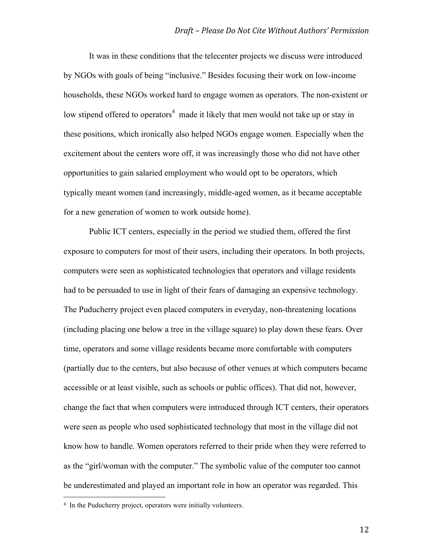It was in these conditions that the telecenter projects we discuss were introduced by NGOs with goals of being "inclusive." Besides focusing their work on low-income households, these NGOs worked hard to engage women as operators. The non-existent or low stipend offered to operators<sup>4</sup> made it likely that men would not take up or stay in these positions, which ironically also helped NGOs engage women. Especially when the excitement about the centers wore off, it was increasingly those who did not have other opportunities to gain salaried employment who would opt to be operators, which typically meant women (and increasingly, middle-aged women, as it became acceptable for a new generation of women to work outside home).

Public ICT centers, especially in the period we studied them, offered the first exposure to computers for most of their users, including their operators. In both projects, computers were seen as sophisticated technologies that operators and village residents had to be persuaded to use in light of their fears of damaging an expensive technology. The Puducherry project even placed computers in everyday, non-threatening locations (including placing one below a tree in the village square) to play down these fears. Over time, operators and some village residents became more comfortable with computers (partially due to the centers, but also because of other venues at which computers became accessible or at least visible, such as schools or public offices). That did not, however, change the fact that when computers were introduced through ICT centers, their operators were seen as people who used sophisticated technology that most in the village did not know how to handle. Women operators referred to their pride when they were referred to as the "girl/woman with the computer." The symbolic value of the computer too cannot be underestimated and played an important role in how an operator was regarded. This

 

<sup>4</sup> In the Puducherry project, operators were initially volunteers.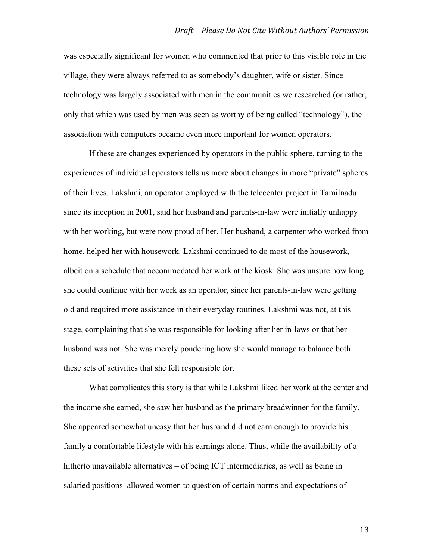was especially significant for women who commented that prior to this visible role in the village, they were always referred to as somebody's daughter, wife or sister. Since technology was largely associated with men in the communities we researched (or rather, only that which was used by men was seen as worthy of being called "technology"), the association with computers became even more important for women operators.

If these are changes experienced by operators in the public sphere, turning to the experiences of individual operators tells us more about changes in more "private" spheres of their lives. Lakshmi, an operator employed with the telecenter project in Tamilnadu since its inception in 2001, said her husband and parents-in-law were initially unhappy with her working, but were now proud of her. Her husband, a carpenter who worked from home, helped her with housework. Lakshmi continued to do most of the housework, albeit on a schedule that accommodated her work at the kiosk. She was unsure how long she could continue with her work as an operator, since her parents-in-law were getting old and required more assistance in their everyday routines. Lakshmi was not, at this stage, complaining that she was responsible for looking after her in-laws or that her husband was not. She was merely pondering how she would manage to balance both these sets of activities that she felt responsible for.

What complicates this story is that while Lakshmi liked her work at the center and the income she earned, she saw her husband as the primary breadwinner for the family. She appeared somewhat uneasy that her husband did not earn enough to provide his family a comfortable lifestyle with his earnings alone. Thus, while the availability of a hitherto unavailable alternatives – of being ICT intermediaries, as well as being in salaried positions allowed women to question of certain norms and expectations of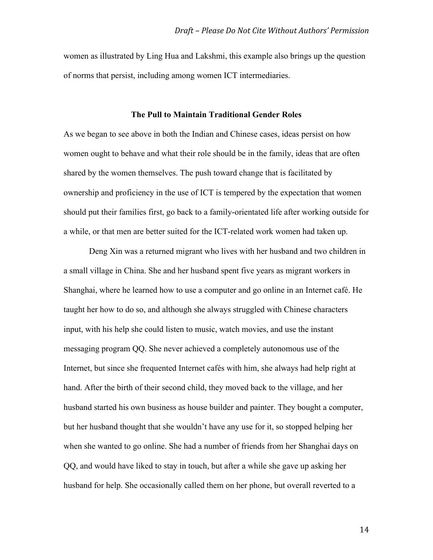women as illustrated by Ling Hua and Lakshmi, this example also brings up the question of norms that persist, including among women ICT intermediaries.

#### **The Pull to Maintain Traditional Gender Roles**

As we began to see above in both the Indian and Chinese cases, ideas persist on how women ought to behave and what their role should be in the family, ideas that are often shared by the women themselves. The push toward change that is facilitated by ownership and proficiency in the use of ICT is tempered by the expectation that women should put their families first, go back to a family-orientated life after working outside for a while, or that men are better suited for the ICT-related work women had taken up.

Deng Xin was a returned migrant who lives with her husband and two children in a small village in China. She and her husband spent five years as migrant workers in Shanghai, where he learned how to use a computer and go online in an Internet café. He taught her how to do so, and although she always struggled with Chinese characters input, with his help she could listen to music, watch movies, and use the instant messaging program QQ. She never achieved a completely autonomous use of the Internet, but since she frequented Internet cafés with him, she always had help right at hand. After the birth of their second child, they moved back to the village, and her husband started his own business as house builder and painter. They bought a computer, but her husband thought that she wouldn't have any use for it, so stopped helping her when she wanted to go online. She had a number of friends from her Shanghai days on QQ, and would have liked to stay in touch, but after a while she gave up asking her husband for help. She occasionally called them on her phone, but overall reverted to a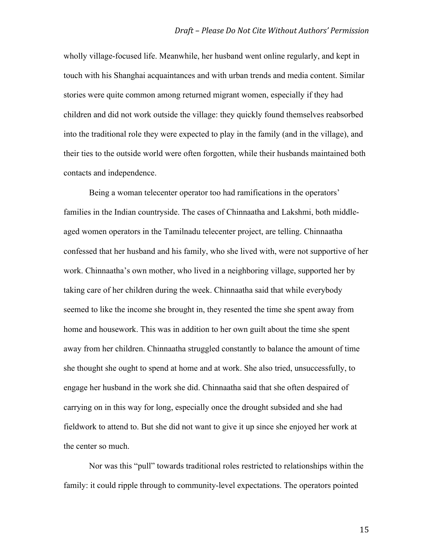wholly village-focused life. Meanwhile, her husband went online regularly, and kept in touch with his Shanghai acquaintances and with urban trends and media content. Similar stories were quite common among returned migrant women, especially if they had children and did not work outside the village: they quickly found themselves reabsorbed into the traditional role they were expected to play in the family (and in the village), and their ties to the outside world were often forgotten, while their husbands maintained both contacts and independence.

Being a woman telecenter operator too had ramifications in the operators' families in the Indian countryside. The cases of Chinnaatha and Lakshmi, both middleaged women operators in the Tamilnadu telecenter project, are telling. Chinnaatha confessed that her husband and his family, who she lived with, were not supportive of her work. Chinnaatha's own mother, who lived in a neighboring village, supported her by taking care of her children during the week. Chinnaatha said that while everybody seemed to like the income she brought in, they resented the time she spent away from home and housework. This was in addition to her own guilt about the time she spent away from her children. Chinnaatha struggled constantly to balance the amount of time she thought she ought to spend at home and at work. She also tried, unsuccessfully, to engage her husband in the work she did. Chinnaatha said that she often despaired of carrying on in this way for long, especially once the drought subsided and she had fieldwork to attend to. But she did not want to give it up since she enjoyed her work at the center so much.

Nor was this "pull" towards traditional roles restricted to relationships within the family: it could ripple through to community-level expectations. The operators pointed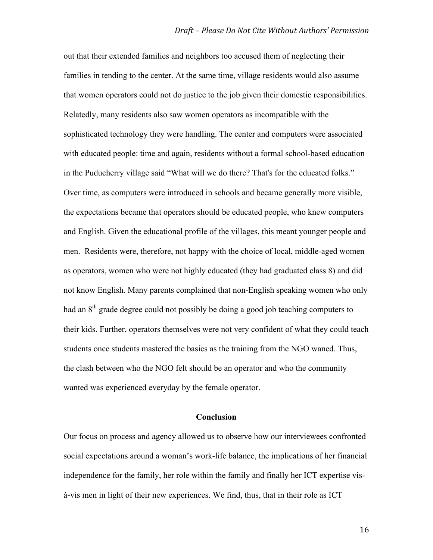out that their extended families and neighbors too accused them of neglecting their families in tending to the center. At the same time, village residents would also assume that women operators could not do justice to the job given their domestic responsibilities. Relatedly, many residents also saw women operators as incompatible with the sophisticated technology they were handling. The center and computers were associated with educated people: time and again, residents without a formal school-based education in the Puducherry village said "What will we do there? That's for the educated folks." Over time, as computers were introduced in schools and became generally more visible, the expectations became that operators should be educated people, who knew computers and English. Given the educational profile of the villages, this meant younger people and men. Residents were, therefore, not happy with the choice of local, middle-aged women as operators, women who were not highly educated (they had graduated class 8) and did not know English. Many parents complained that non-English speaking women who only had an 8<sup>th</sup> grade degree could not possibly be doing a good job teaching computers to their kids. Further, operators themselves were not very confident of what they could teach students once students mastered the basics as the training from the NGO waned. Thus, the clash between who the NGO felt should be an operator and who the community wanted was experienced everyday by the female operator.

#### **Conclusion**

Our focus on process and agency allowed us to observe how our interviewees confronted social expectations around a woman's work-life balance, the implications of her financial independence for the family, her role within the family and finally her ICT expertise visà-vis men in light of their new experiences. We find, thus, that in their role as ICT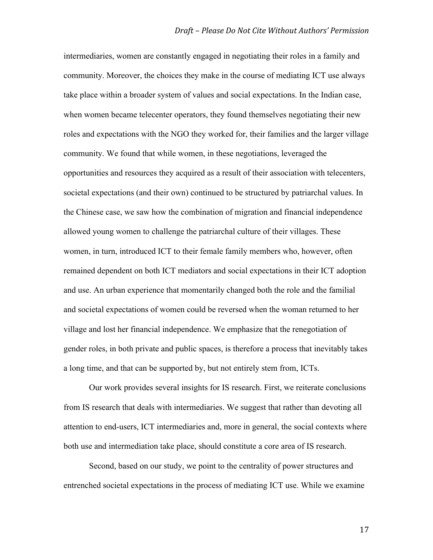intermediaries, women are constantly engaged in negotiating their roles in a family and community. Moreover, the choices they make in the course of mediating ICT use always take place within a broader system of values and social expectations. In the Indian case, when women became telecenter operators, they found themselves negotiating their new roles and expectations with the NGO they worked for, their families and the larger village community. We found that while women, in these negotiations, leveraged the opportunities and resources they acquired as a result of their association with telecenters, societal expectations (and their own) continued to be structured by patriarchal values. In the Chinese case, we saw how the combination of migration and financial independence allowed young women to challenge the patriarchal culture of their villages. These women, in turn, introduced ICT to their female family members who, however, often remained dependent on both ICT mediators and social expectations in their ICT adoption and use. An urban experience that momentarily changed both the role and the familial and societal expectations of women could be reversed when the woman returned to her village and lost her financial independence. We emphasize that the renegotiation of gender roles, in both private and public spaces, is therefore a process that inevitably takes a long time, and that can be supported by, but not entirely stem from, ICTs.

Our work provides several insights for IS research. First, we reiterate conclusions from IS research that deals with intermediaries. We suggest that rather than devoting all attention to end-users, ICT intermediaries and, more in general, the social contexts where both use and intermediation take place, should constitute a core area of IS research.

Second, based on our study, we point to the centrality of power structures and entrenched societal expectations in the process of mediating ICT use. While we examine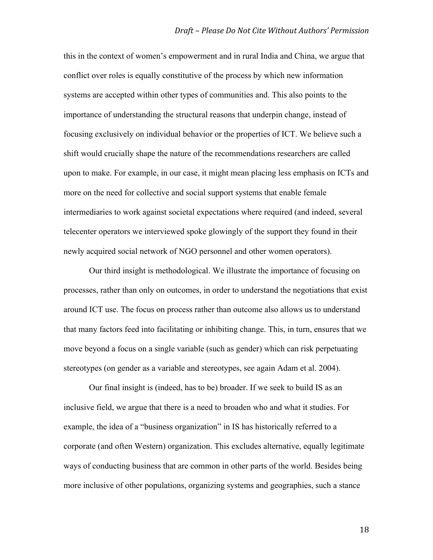this in the context of women's empowerment and in rural India and China, we argue that conflict over roles is equally constitutive of the process by which new information systems are accepted within other types of communities and. This also points to the importance of understanding the structural reasons that underpin change, instead of focusing exclusively on individual behavior or the properties of ICT. We believe such a shift would crucially shape the nature of the recommendations researchers are called upon to make. For example, in our case, it might mean placing less emphasis on ICTs and more on the need for collective and social support systems that enable female intermediaries to work against societal expectations where required (and indeed, several telecenter operators we interviewed spoke glowingly of the support they found in their newly acquired social network of NGO personnel and other women operators).

Our third insight is methodological. We illustrate the importance of focusing on processes, rather than only on outcomes, in order to understand the negotiations that exist around ICT use. The focus on process rather than outcome also allows us to understand that many factors feed into facilitating or inhibiting change. This, in turn, ensures that we move beyond a focus on a single variable (such as gender) which can risk perpetuating stereotypes (on gender as a variable and stereotypes, see again Adam et al. 2004).

Our final insight is (indeed, has to be) broader. If we seek to build IS as an inclusive field, we argue that there is a need to broaden who and what it studies. For example, the idea of a "business organization" in IS has historically referred to a corporate (and often Western) organization. This excludes alternative, equally legitimate ways of conducting business that are common in other parts of the world. Besides being more inclusive of other populations, organizing systems and geographies, such a stance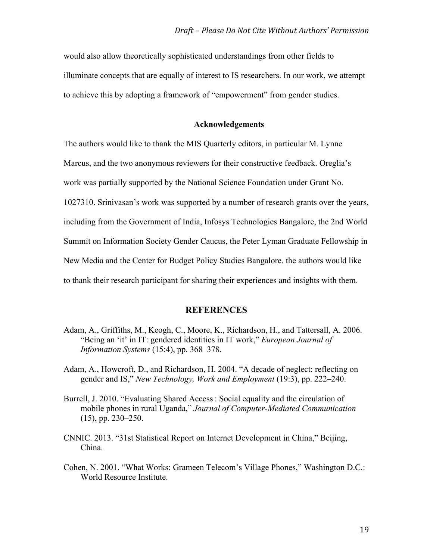would also allow theoretically sophisticated understandings from other fields to illuminate concepts that are equally of interest to IS researchers. In our work, we attempt to achieve this by adopting a framework of "empowerment" from gender studies.

#### **Acknowledgements**

The authors would like to thank the MIS Quarterly editors, in particular M. Lynne Marcus, and the two anonymous reviewers for their constructive feedback. Oreglia's work was partially supported by the National Science Foundation under Grant No. 1027310. Srinivasan's work was supported by a number of research grants over the years, including from the Government of India, Infosys Technologies Bangalore, the 2nd World Summit on Information Society Gender Caucus, the Peter Lyman Graduate Fellowship in New Media and the Center for Budget Policy Studies Bangalore. the authors would like to thank their research participant for sharing their experiences and insights with them.

#### **REFERENCES**

- Adam, A., Griffiths, M., Keogh, C., Moore, K., Richardson, H., and Tattersall, A. 2006. "Being an 'it' in IT: gendered identities in IT work," *European Journal of Information Systems* (15:4), pp. 368–378.
- Adam, A., Howcroft, D., and Richardson, H. 2004. "A decade of neglect: reflecting on gender and IS," *New Technology, Work and Employment* (19:3), pp. 222–240.
- Burrell, J. 2010. "Evaluating Shared Access : Social equality and the circulation of mobile phones in rural Uganda," *Journal of Computer-Mediated Communication* (15), pp. 230–250.
- CNNIC. 2013. "31st Statistical Report on Internet Development in China," Beijing, China.
- Cohen, N. 2001. "What Works: Grameen Telecom's Village Phones," Washington D.C.: World Resource Institute.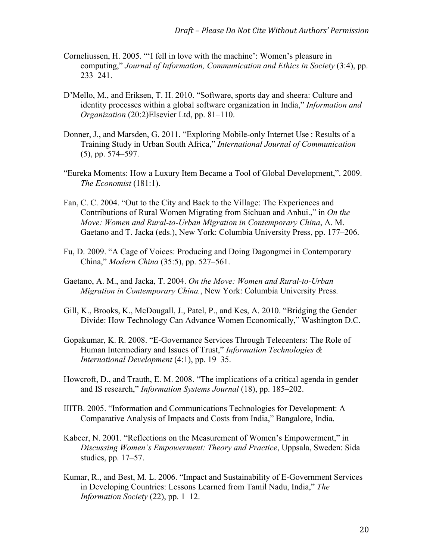- Corneliussen, H. 2005. "'I fell in love with the machine': Women's pleasure in computing," *Journal of Information, Communication and Ethics in Society* (3:4), pp. 233–241.
- D'Mello, M., and Eriksen, T. H. 2010. "Software, sports day and sheera: Culture and identity processes within a global software organization in India," *Information and Organization* (20:2)Elsevier Ltd, pp. 81–110.
- Donner, J., and Marsden, G. 2011. "Exploring Mobile-only Internet Use : Results of a Training Study in Urban South Africa," *International Journal of Communication* (5), pp. 574–597.
- "Eureka Moments: How a Luxury Item Became a Tool of Global Development,". 2009. *The Economist* (181:1).
- Fan, C. C. 2004. "Out to the City and Back to the Village: The Experiences and Contributions of Rural Women Migrating from Sichuan and Anhui.," in *On the Move: Women and Rural-to-Urban Migration in Contemporary China*, A. M. Gaetano and T. Jacka (eds.), New York: Columbia University Press, pp. 177–206.
- Fu, D. 2009. "A Cage of Voices: Producing and Doing Dagongmei in Contemporary China," *Modern China* (35:5), pp. 527–561.
- Gaetano, A. M., and Jacka, T. 2004. *On the Move: Women and Rural-to-Urban Migration in Contemporary China.*, New York: Columbia University Press.
- Gill, K., Brooks, K., McDougall, J., Patel, P., and Kes, A. 2010. "Bridging the Gender Divide: How Technology Can Advance Women Economically," Washington D.C.
- Gopakumar, K. R. 2008. "E-Governance Services Through Telecenters: The Role of Human Intermediary and Issues of Trust," *Information Technologies & International Development* (4:1), pp. 19–35.
- Howcroft, D., and Trauth, E. M. 2008. "The implications of a critical agenda in gender and IS research," *Information Systems Journal* (18), pp. 185–202.
- IIITB. 2005. "Information and Communications Technologies for Development: A Comparative Analysis of Impacts and Costs from India," Bangalore, India.
- Kabeer, N. 2001. "Reflections on the Measurement of Women's Empowerment," in *Discussing Women's Empowerment: Theory and Practice*, Uppsala, Sweden: Sida studies, pp. 17–57.
- Kumar, R., and Best, M. L. 2006. "Impact and Sustainability of E-Government Services in Developing Countries: Lessons Learned from Tamil Nadu, India," *The Information Society* (22), pp. 1–12.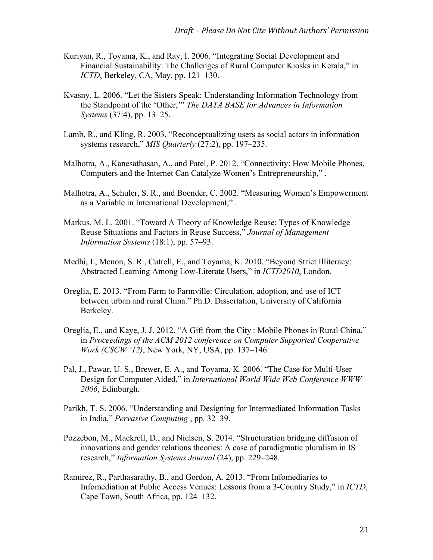- Kuriyan, R., Toyama, K., and Ray, I. 2006. "Integrating Social Development and Financial Sustainability: The Challenges of Rural Computer Kiosks in Kerala," in *ICTD*, Berkeley, CA, May, pp. 121–130.
- Kvasny, L. 2006. "Let the Sisters Speak: Understanding Information Technology from the Standpoint of the 'Other,'" *The DATA BASE for Advances in Information Systems* (37:4), pp. 13–25.
- Lamb, R., and Kling, R. 2003. "Reconceptualizing users as social actors in information systems research," *MIS Quarterly* (27:2), pp. 197–235.
- Malhotra, A., Kanesathasan, A., and Patel, P. 2012. "Connectivity: How Mobile Phones, Computers and the Internet Can Catalyze Women's Entrepreneurship," .
- Malhotra, A., Schuler, S. R., and Boender, C. 2002. "Measuring Women's Empowerment as a Variable in International Development," .
- Markus, M. L. 2001. "Toward A Theory of Knowledge Reuse: Types of Knowledge Reuse Situations and Factors in Reuse Success," *Journal of Management Information Systems* (18:1), pp. 57–93.
- Medhi, I., Menon, S. R., Cutrell, E., and Toyama, K. 2010. "Beyond Strict Illiteracy: Abstracted Learning Among Low-Literate Users," in *ICTD2010*, London.
- Oreglia, E. 2013. "From Farm to Farmville: Circulation, adoption, and use of ICT between urban and rural China." Ph.D. Dissertation, University of California Berkeley.
- Oreglia, E., and Kaye, J. J. 2012. "A Gift from the City : Mobile Phones in Rural China," in *Proceedings of the ACM 2012 conference on Computer Supported Cooperative Work (CSCW '12)*, New York, NY, USA, pp. 137–146.
- Pal, J., Pawar, U. S., Brewer, E. A., and Toyama, K. 2006. "The Case for Multi-User Design for Computer Aided," in *International World Wide Web Conference WWW 2006*, Edinburgh.
- Parikh, T. S. 2006. "Understanding and Designing for Intermediated Information Tasks in India," *Pervasive Computing* , pp. 32–39.
- Pozzebon, M., Mackrell, D., and Nielsen, S. 2014. "Structuration bridging diffusion of innovations and gender relations theories: A case of paradigmatic pluralism in IS research," *Information Systems Journal* (24), pp. 229–248.
- Ramírez, R., Parthasarathy, B., and Gordon, A. 2013. "From Infomediaries to Infomediation at Public Access Venues: Lessons from a 3-Country Study," in *ICTD*, Cape Town, South Africa, pp. 124–132.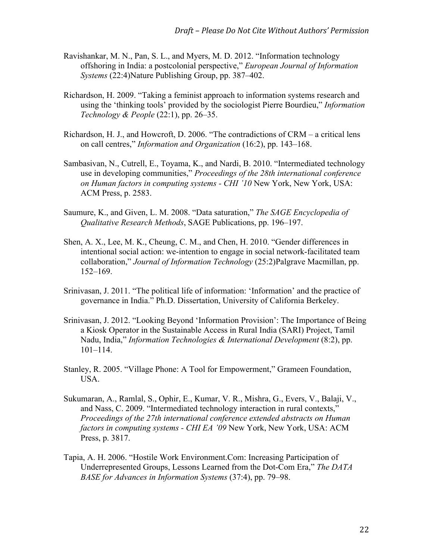- Ravishankar, M. N., Pan, S. L., and Myers, M. D. 2012. "Information technology offshoring in India: a postcolonial perspective," *European Journal of Information Systems* (22:4)Nature Publishing Group, pp. 387–402.
- Richardson, H. 2009. "Taking a feminist approach to information systems research and using the 'thinking tools' provided by the sociologist Pierre Bourdieu," *Information Technology & People* (22:1), pp. 26–35.
- Richardson, H. J., and Howcroft, D. 2006. "The contradictions of CRM a critical lens on call centres," *Information and Organization* (16:2), pp. 143–168.
- Sambasivan, N., Cutrell, E., Toyama, K., and Nardi, B. 2010. "Intermediated technology use in developing communities," *Proceedings of the 28th international conference on Human factors in computing systems - CHI '10* New York, New York, USA: ACM Press, p. 2583.
- Saumure, K., and Given, L. M. 2008. "Data saturation," *The SAGE Encyclopedia of Qualitative Research Methods*, SAGE Publications, pp. 196–197.
- Shen, A. X., Lee, M. K., Cheung, C. M., and Chen, H. 2010. "Gender differences in intentional social action: we-intention to engage in social network-facilitated team collaboration," *Journal of Information Technology* (25:2)Palgrave Macmillan, pp. 152–169.
- Srinivasan, J. 2011. "The political life of information: 'Information' and the practice of governance in India." Ph.D. Dissertation, University of California Berkeley.
- Srinivasan, J. 2012. "Looking Beyond 'Information Provision': The Importance of Being a Kiosk Operator in the Sustainable Access in Rural India (SARI) Project, Tamil Nadu, India," *Information Technologies & International Development* (8:2), pp. 101–114.
- Stanley, R. 2005. "Village Phone: A Tool for Empowerment," Grameen Foundation, USA.
- Sukumaran, A., Ramlal, S., Ophir, E., Kumar, V. R., Mishra, G., Evers, V., Balaji, V., and Nass, C. 2009. "Intermediated technology interaction in rural contexts," *Proceedings of the 27th international conference extended abstracts on Human factors in computing systems - CHI EA '09* New York, New York, USA: ACM Press, p. 3817.
- Tapia, A. H. 2006. "Hostile Work Environment.Com: Increasing Participation of Underrepresented Groups, Lessons Learned from the Dot-Com Era," *The DATA BASE for Advances in Information Systems* (37:4), pp. 79–98.